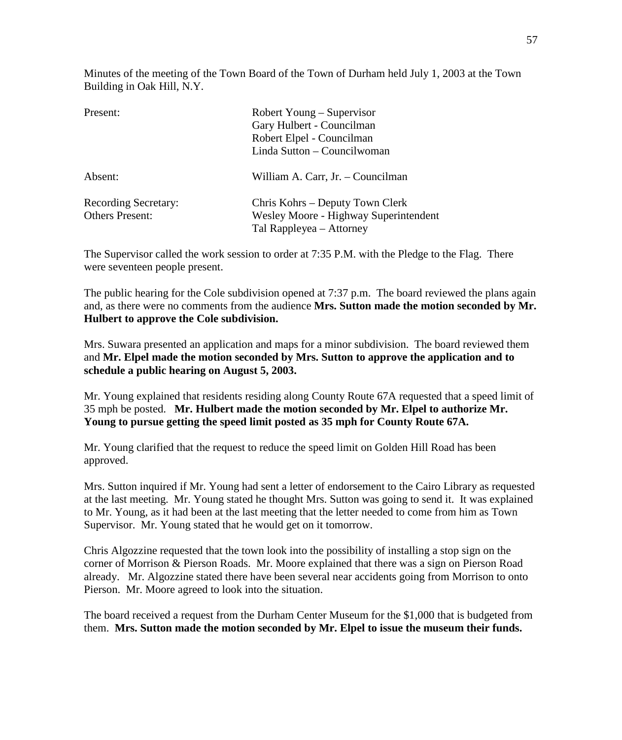Minutes of the meeting of the Town Board of the Town of Durham held July 1, 2003 at the Town Building in Oak Hill, N.Y.

| Present:                                              | Robert Young – Supervisor<br>Gary Hulbert - Councilman<br>Robert Elpel - Councilman<br>Linda Sutton - Councilwoman |
|-------------------------------------------------------|--------------------------------------------------------------------------------------------------------------------|
| Absent:                                               | William A. Carr, Jr. – Councilman                                                                                  |
| <b>Recording Secretary:</b><br><b>Others Present:</b> | Chris Kohrs – Deputy Town Clerk<br>Wesley Moore - Highway Superintendent<br>Tal Rappleyea - Attorney               |

The Supervisor called the work session to order at 7:35 P.M. with the Pledge to the Flag. There were seventeen people present.

The public hearing for the Cole subdivision opened at 7:37 p.m. The board reviewed the plans again and, as there were no comments from the audience **Mrs. Sutton made the motion seconded by Mr. Hulbert to approve the Cole subdivision.** 

Mrs. Suwara presented an application and maps for a minor subdivision. The board reviewed them and **Mr. Elpel made the motion seconded by Mrs. Sutton to approve the application and to schedule a public hearing on August 5, 2003.**

Mr. Young explained that residents residing along County Route 67A requested that a speed limit of 35 mph be posted. **Mr. Hulbert made the motion seconded by Mr. Elpel to authorize Mr. Young to pursue getting the speed limit posted as 35 mph for County Route 67A.**

Mr. Young clarified that the request to reduce the speed limit on Golden Hill Road has been approved.

Mrs. Sutton inquired if Mr. Young had sent a letter of endorsement to the Cairo Library as requested at the last meeting. Mr. Young stated he thought Mrs. Sutton was going to send it. It was explained to Mr. Young, as it had been at the last meeting that the letter needed to come from him as Town Supervisor. Mr. Young stated that he would get on it tomorrow.

Chris Algozzine requested that the town look into the possibility of installing a stop sign on the corner of Morrison & Pierson Roads. Mr. Moore explained that there was a sign on Pierson Road already. Mr. Algozzine stated there have been several near accidents going from Morrison to onto Pierson. Mr. Moore agreed to look into the situation.

The board received a request from the Durham Center Museum for the \$1,000 that is budgeted from them. **Mrs. Sutton made the motion seconded by Mr. Elpel to issue the museum their funds.**